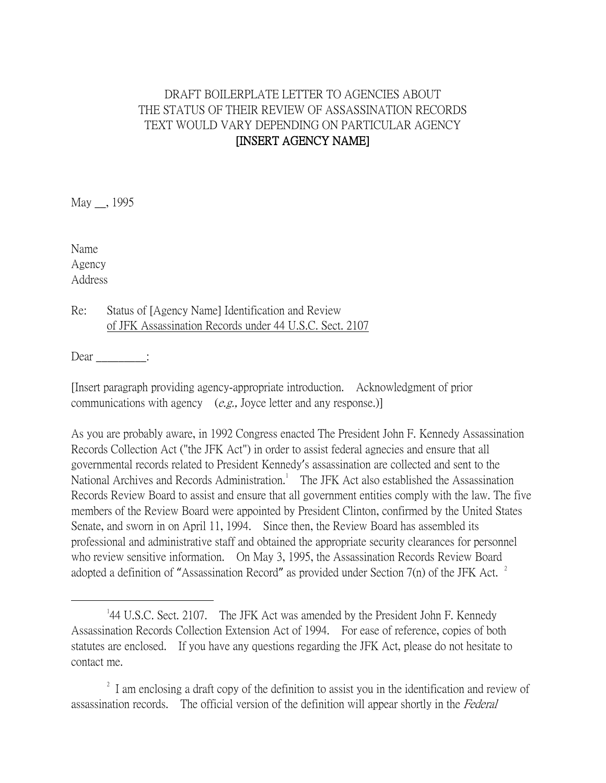## DRAFT BOILERPLATE LETTER TO AGENCIES ABOUT THE STATUS OF THEIR REVIEW OF ASSASSINATION RECORDS TEXT WOULD VARY DEPENDING ON PARTICULAR AGENCY [INSERT AGENCY NAME]

May \_\_, 1995

Name Agency Address

 $\overline{a}$ 

Re: Status of [Agency Name] Identification and Review of JFK Assassination Records under 44 U.S.C. Sect. 2107

 $Dear$   $\qquad$ :

[Insert paragraph providing agency-appropriate introduction. Acknowledgment of prior communications with agency  $(e.g., Joyce letter and any response.)$ 

As you are probably aware, in 1992 Congress enacted The President John F. Kennedy Assassination Records Collection Act ("the JFK Act") in order to assist federal agnecies and ensure that all governmental records related to President Kennedy's assassination are collected and sent to the National Archives and Records Administration.<sup>1</sup> The JFK Act also established the Assassination Records Review Board to assist and ensure that all government entities comply with the law. The five members of the Review Board were appointed by President Clinton, confirmed by the United States Senate, and sworn in on April 11, 1994. Since then, the Review Board has assembled its professional and administrative staff and obtained the appropriate security clearances for personnel who review sensitive information. On May 3, 1995, the Assassination Records Review Board adopted a definition of "Assassination Record" as provided under Section 7(n) of the JFK Act.  $^2$ 

<sup>&</sup>lt;sup>1</sup>44 U.S.C. Sect. 2107. The JFK Act was amended by the President John F. Kennedy Assassination Records Collection Extension Act of 1994. For ease of reference, copies of both statutes are enclosed. If you have any questions regarding the JFK Act, please do not hesitate to contact me.

<sup>&</sup>lt;sup>2</sup> I am enclosing a draft copy of the definition to assist you in the identification and review of assassination records. The official version of the definition will appear shortly in the Federal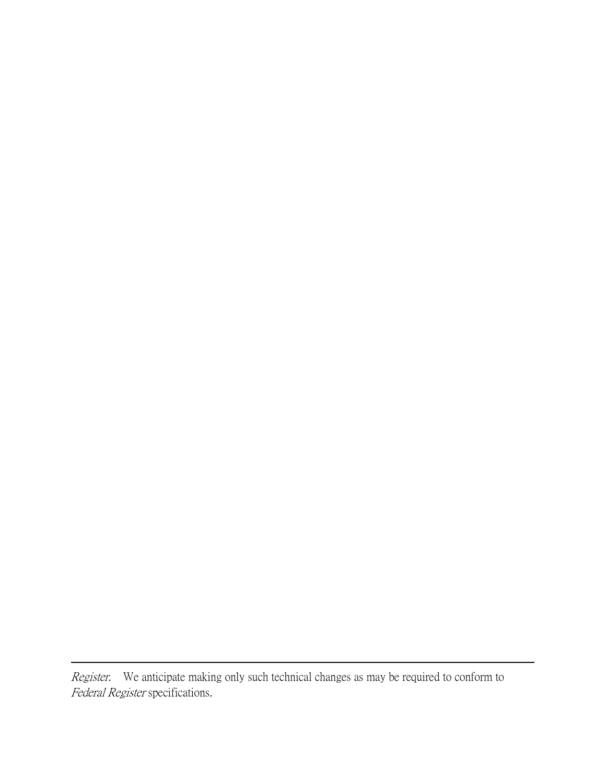Register. We anticipate making only such technical changes as may be required to conform to Federal Register specifications.

 $\overline{a}$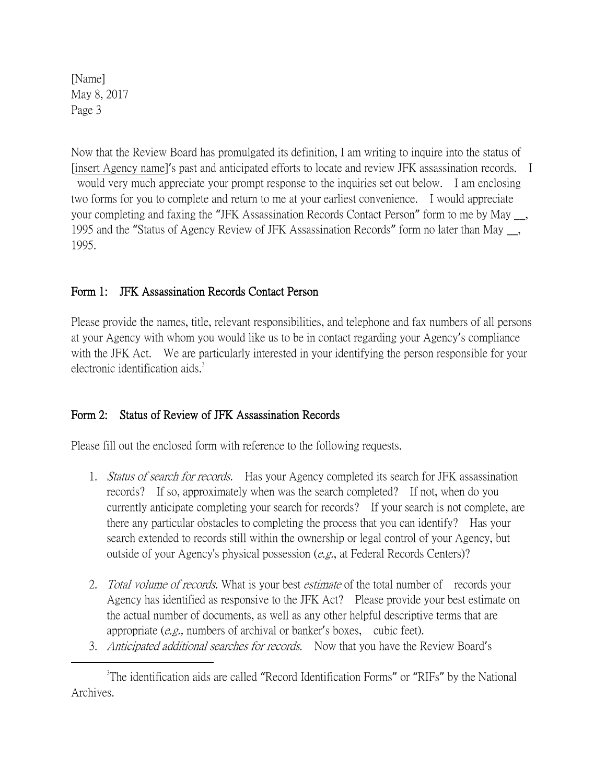[Name] May 8, 2017 Page 3

 $\overline{a}$ 

Now that the Review Board has promulgated its definition, I am writing to inquire into the status of [insert Agency name]'s past and anticipated efforts to locate and review JFK assassination records. I would very much appreciate your prompt response to the inquiries set out below. I am enclosing two forms for you to complete and return to me at your earliest convenience. I would appreciate your completing and faxing the "JFK Assassination Records Contact Person" form to me by May \_\_, 1995 and the "Status of Agency Review of JFK Assassination Records" form no later than May \_\_, 1995.

## Form 1: JFK Assassination Records Contact Person

Please provide the names, title, relevant responsibilities, and telephone and fax numbers of all persons at your Agency with whom you would like us to be in contact regarding your Agency's compliance with the JFK Act. We are particularly interested in your identifying the person responsible for your electronic identification aids.<sup>3</sup>

## Form 2: Status of Review of JFK Assassination Records

Please fill out the enclosed form with reference to the following requests.

- 1. *Status of search for records.* Has your Agency completed its search for JFK assassination records? If so, approximately when was the search completed? If not, when do you currently anticipate completing your search for records? If your search is not complete, are there any particular obstacles to completing the process that you can identify? Has your search extended to records still within the ownership or legal control of your Agency, but outside of your Agency's physical possession (e.g., at Federal Records Centers)?
- 2. Total volume of records. What is your best estimate of the total number of records your Agency has identified as responsive to the JFK Act? Please provide your best estimate on the actual number of documents, as well as any other helpful descriptive terms that are appropriate (e.g., numbers of archival or banker's boxes, cubic feet).
- 3. Anticipated additional searches for records. Now that you have the Review Board's

<sup>&</sup>lt;sup>3</sup>The identification aids are called "Record Identification Forms" or "RIFs" by the National Archives.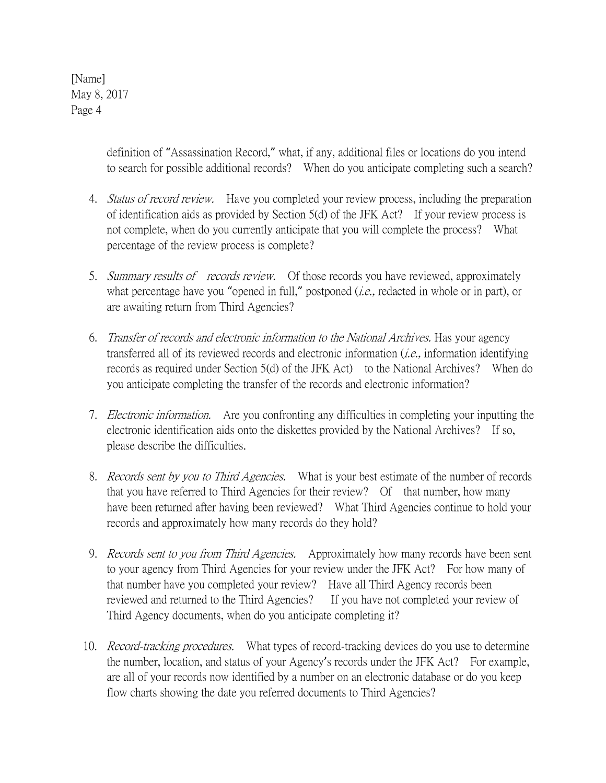[Name] May 8, 2017 Page 4

> definition of "Assassination Record," what, if any, additional files or locations do you intend to search for possible additional records? When do you anticipate completing such a search?

- 4. *Status of record review.* Have you completed your review process, including the preparation of identification aids as provided by Section 5(d) of the JFK Act? If your review process is not complete, when do you currently anticipate that you will complete the process? What percentage of the review process is complete?
- 5. Summary results of records review. Of those records you have reviewed, approximately what percentage have you "opened in full," postponed (*i.e.*, redacted in whole or in part), or are awaiting return from Third Agencies?
- 6. Transfer of records and electronic information to the National Archives. Has your agency transferred all of its reviewed records and electronic information (i.e., information identifying records as required under Section 5(d) of the JFK Act) to the National Archives? When do you anticipate completing the transfer of the records and electronic information?
- 7. *Electronic information.* Are you confronting any difficulties in completing your inputting the electronic identification aids onto the diskettes provided by the National Archives? If so, please describe the difficulties.
- 8. *Records sent by you to Third Agencies*. What is your best estimate of the number of records that you have referred to Third Agencies for their review? Of that number, how many have been returned after having been reviewed? What Third Agencies continue to hold your records and approximately how many records do they hold?
- 9. *Records sent to you from Third Agencies*. Approximately how many records have been sent to your agency from Third Agencies for your review under the JFK Act? For how many of that number have you completed your review? Have all Third Agency records been reviewed and returned to the Third Agencies? If you have not completed your review of Third Agency documents, when do you anticipate completing it?
- 10. *Record-tracking procedures.* What types of record-tracking devices do you use to determine the number, location, and status of your Agency's records under the JFK Act? For example, are all of your records now identified by a number on an electronic database or do you keep flow charts showing the date you referred documents to Third Agencies?